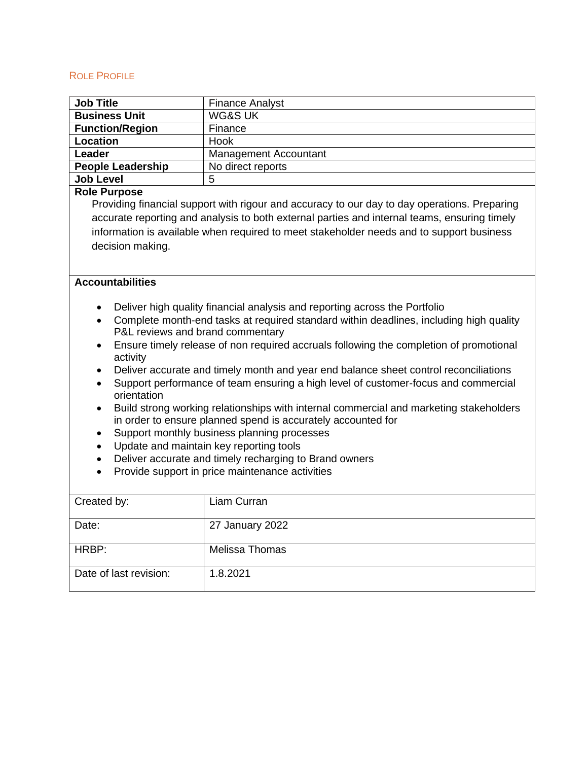## ROLE PROFILE

| <b>Job Title</b>                                                                                    | <b>Finance Analyst</b>       |  |
|-----------------------------------------------------------------------------------------------------|------------------------------|--|
| <b>Business Unit</b>                                                                                | <b>WG&amp;S UK</b>           |  |
| <b>Function/Region</b>                                                                              | Finance                      |  |
| <b>Location</b>                                                                                     | Hook                         |  |
| <b>Leader</b>                                                                                       | <b>Management Accountant</b> |  |
| <b>People Leadership</b>                                                                            | No direct reports            |  |
| <b>Job Level</b>                                                                                    | 5                            |  |
| <b>Role Purpose</b>                                                                                 |                              |  |
| Providing financial support with rigour and accuracy to our day to day operations. Preparing        |                              |  |
| accurate reporting and analysis to both external parties and internal teams, ensuring timely        |                              |  |
| information is available when required to meet stakeholder needs and to support business            |                              |  |
| decision making.                                                                                    |                              |  |
|                                                                                                     |                              |  |
|                                                                                                     |                              |  |
| <b>Accountabilities</b>                                                                             |                              |  |
|                                                                                                     |                              |  |
| Deliver high quality financial analysis and reporting across the Portfolio<br>$\bullet$             |                              |  |
| Complete month-end tasks at required standard within deadlines, including high quality<br>$\bullet$ |                              |  |
| P&L reviews and brand commentary                                                                    |                              |  |
| Ensure timely release of non required accruals following the completion of promotional<br>$\bullet$ |                              |  |
| activity                                                                                            |                              |  |
| Deliver accurate and timely month and year end balance sheet control reconciliations<br>$\bullet$   |                              |  |
| Support performance of team ensuring a high level of customer-focus and commercial<br>$\bullet$     |                              |  |
| orientation                                                                                         |                              |  |
| Build strong working relationships with internal commercial and marketing stakeholders<br>$\bullet$ |                              |  |
| in order to ensure planned spend is accurately accounted for                                        |                              |  |
| Support monthly business planning processes<br>$\bullet$                                            |                              |  |
| Update and maintain key reporting tools<br>$\bullet$                                                |                              |  |
| Deliver accurate and timely recharging to Brand owners<br>$\bullet$                                 |                              |  |
| Provide support in price maintenance activities<br>$\bullet$                                        |                              |  |
|                                                                                                     |                              |  |
| Created by:                                                                                         | Liam Curran                  |  |
|                                                                                                     |                              |  |
| Date:                                                                                               | 27 January 2022              |  |
|                                                                                                     |                              |  |
| HRBP:                                                                                               | Melissa Thomas               |  |
|                                                                                                     |                              |  |
| Date of last revision:                                                                              | 1.8.2021                     |  |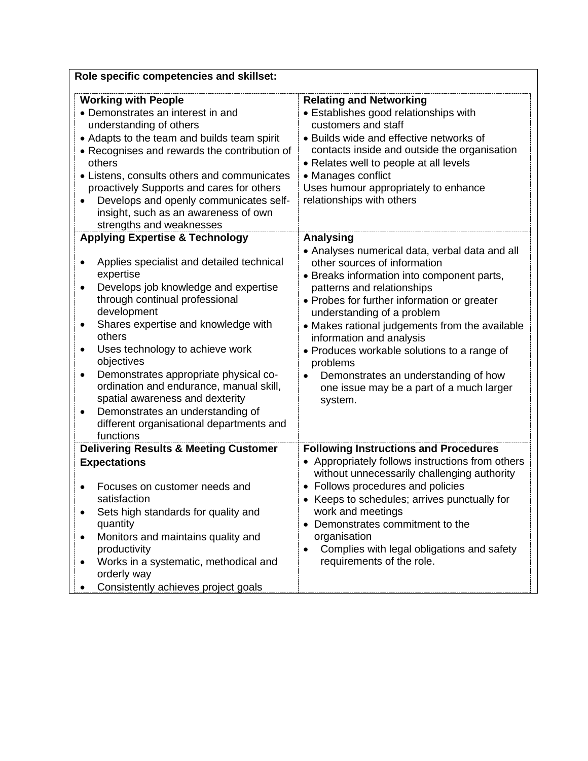| Role specific competencies and skillset:                                                                                                                                                                                                                                                                                                                                                                                                                                                                                              |                                                                                                                                                                                                                                                                                                                                                                                                                                                                                                     |  |  |
|---------------------------------------------------------------------------------------------------------------------------------------------------------------------------------------------------------------------------------------------------------------------------------------------------------------------------------------------------------------------------------------------------------------------------------------------------------------------------------------------------------------------------------------|-----------------------------------------------------------------------------------------------------------------------------------------------------------------------------------------------------------------------------------------------------------------------------------------------------------------------------------------------------------------------------------------------------------------------------------------------------------------------------------------------------|--|--|
| <b>Working with People</b><br>• Demonstrates an interest in and<br>understanding of others<br>• Adapts to the team and builds team spirit<br>• Recognises and rewards the contribution of<br>others<br>• Listens, consults others and communicates<br>proactively Supports and cares for others<br>Develops and openly communicates self-<br>insight, such as an awareness of own<br>strengths and weaknesses                                                                                                                         | <b>Relating and Networking</b><br>• Establishes good relationships with<br>customers and staff<br>• Builds wide and effective networks of<br>contacts inside and outside the organisation<br>• Relates well to people at all levels<br>• Manages conflict<br>Uses humour appropriately to enhance<br>relationships with others                                                                                                                                                                      |  |  |
| <b>Applying Expertise &amp; Technology</b><br>Applies specialist and detailed technical<br>expertise<br>Develops job knowledge and expertise<br>٠<br>through continual professional<br>development<br>Shares expertise and knowledge with<br>$\bullet$<br>others<br>Uses technology to achieve work<br>objectives<br>Demonstrates appropriate physical co-<br>ordination and endurance, manual skill,<br>spatial awareness and dexterity<br>Demonstrates an understanding of<br>different organisational departments and<br>functions | <b>Analysing</b><br>• Analyses numerical data, verbal data and all<br>other sources of information<br>• Breaks information into component parts,<br>patterns and relationships<br>• Probes for further information or greater<br>understanding of a problem<br>• Makes rational judgements from the available<br>information and analysis<br>• Produces workable solutions to a range of<br>problems<br>Demonstrates an understanding of how<br>one issue may be a part of a much larger<br>system. |  |  |
| <b>Delivering Results &amp; Meeting Customer</b><br><b>Expectations</b><br>Focuses on customer needs and<br>satisfaction<br>Sets high standards for quality and<br>quantity<br>Monitors and maintains quality and<br>productivity<br>Works in a systematic, methodical and<br>orderly way<br>Consistently achieves project goals                                                                                                                                                                                                      | <b>Following Instructions and Procedures</b><br>• Appropriately follows instructions from others<br>without unnecessarily challenging authority<br>• Follows procedures and policies<br>• Keeps to schedules; arrives punctually for<br>work and meetings<br>Demonstrates commitment to the<br>organisation<br>Complies with legal obligations and safety<br>requirements of the role.                                                                                                              |  |  |